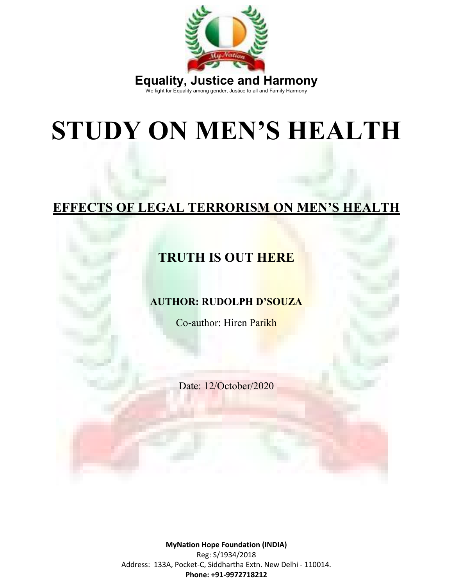

# **STUDY ON MEN'S HEALTH**

## **EFFECTS OF LEGAL TERRORISM ON MEN'S HEALTH**



#### **AUTHOR: RUDOLPH D'SOUZA**

Co-author: Hiren Parikh

Date: 12/October/2020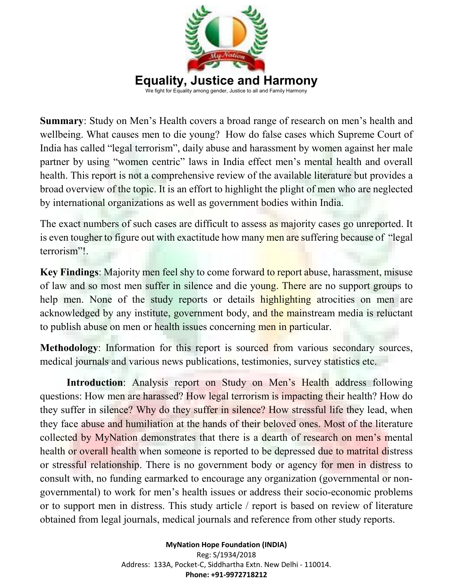

**Summary**: Study on Men's Health covers a broad range of research on men's health and wellbeing. What causes men to die young? How do false cases which Supreme Court of India has called "legal terrorism", daily abuse and harassment by women against her male partner by using "women centric" laws in India effect men's mental health and overall health. This report is not a comprehensive review of the available literature but provides a broad overview of the topic. It is an effort to highlight the plight of men who are neglected by international organizations as well as government bodies within India.

The exact numbers of such cases are difficult to assess as majority cases go unreported. It is even tougher to figure out with exactitude how many men are suffering because of "legal" terrorism"!.

**Key Findings**: Majority men feel shy to come forward to report abuse, harassment, misuse of law and so most men suffer in silence and die young. There are no support groups to help men. None of the study reports or details highlighting atrocities on men are acknowledged by any institute, government body, and the mainstream media is reluctant to publish abuse on men or health issues concerning men in particular.

**Methodology:** Information for this report is sourced from various secondary sources, medical journals and various news publications, testimonies, survey statistics etc.

**Introduction**: Analysis report on Study on Men's Health address following questions: How men are harassed? How legal terrorism is impacting their health? How do they suffer in silence? Why do they suffer in silence? How stressful life they lead, when they face abuse and humiliation at the hands of their beloved ones. Most of the literature collected by MyNation demonstrates that there is a dearth of research on men's mental health or overall health when someone is reported to be depressed due to matrital distress or stressful relationship. There is no government body or agency for men in distress to consult with, no funding earmarked to encourage any organization (governmental or nongovernmental) to work for men's health issues or address their socio-economic problems or to support men in distress. This study article / report is based on review of literature obtained from legal journals, medical journals and reference from other study reports.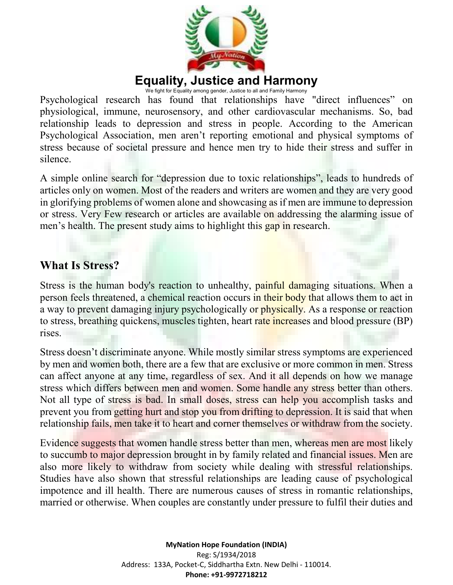

We fight for Equality among gender, Justice to all and Family Harmony

Psychological research has found that relationships have "direct influences" on physiological, immune, neurosensory, and other cardiovascular mechanisms. So, bad relationship leads to depression and stress in people. According to the American Psychological Association, men aren't reporting emotional and physical symptoms of stress because of societal pressure and hence men try to hide their stress and suffer in silence.

A simple online search for "depression due to toxic relationships", leads to hundreds of articles only on women. Most of the readers and writers are women and they are very good in glorifying problems of women alone and showcasing as if men are immune to depression or stress. Very Few research or articles are available on addressing the alarming issue of men's health. The present study aims to highlight this gap in research.

#### **What Is Stress?**

Stress is the human body's reaction to unhealthy, painful damaging situations. When a person feels threatened, a chemical reaction occurs in their body that allows them to act in a way to prevent damaging injury psychologically or physically. As a response or reaction to stress, breathing quickens, muscles tighten, heart rate increases and blood pressure (BP) rises.

Stress doesn't discriminate anyone. While mostly similar stress symptoms are experienced by men and women both, there are a few that are exclusive or more common in men. Stress can affect anyone at any time, regardless of sex. And it all depends on how we manage stress which differs between men and women. Some handle any stress better than others. Not all type of stress is bad. In small doses, stress can help you accomplish tasks and prevent you from getting hurt and stop you from drifting to depression. It is said that when relationship fails, men take it to heart and corner themselves or withdraw from the society.

Evidence suggests that women handle stress better than men, whereas men are most likely to succumb to major depression brought in by family related and financial issues. Men are also more likely to withdraw from society while dealing with stressful relationships. Studies have also shown that stressful relationships are leading cause of psychological impotence and ill health. There are numerous causes of stress in romantic relationships, married or otherwise. When couples are constantly under pressure to fulfil their duties and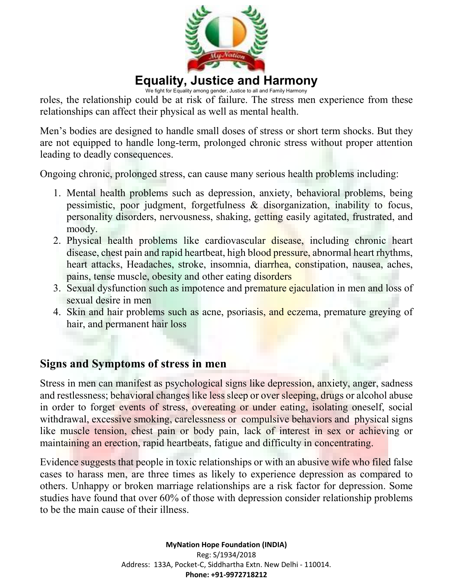

We fight for Equality among gender, Justice to all and Family Harmony

roles, the relationship could be at risk of failure. The stress men experience from these relationships can affect their physical as well as mental health.

Men's bodies are designed to handle small doses of stress or short term shocks. But they are not equipped to handle long-term, prolonged chronic stress without proper attention leading to deadly consequences.

Ongoing chronic, prolonged stress, can cause many serious health problems including:

- 1. Mental health problems such as depression, anxiety, behavioral problems, being pessimistic, poor judgment, forgetfulness & disorganization, inability to focus, personality disorders, nervousness, shaking, getting easily agitated, frustrated, and moody.
- 2. Physical health problems like cardiovascular disease, including chronic heart disease, chest pain and rapid heartbeat, high blood pressure, abnormal heart rhythms, heart attacks, Headaches, stroke, insomnia, diarrhea, constipation, nausea, aches, pains, tense muscle, obesity and other eating disorders
- 3. Sexual dysfunction such as impotence and premature ejaculation in men and loss of sexual desire in men
- 4. Skin and hair problems such as acne, psoriasis, and eczema, premature greying of hair, and permanent hair loss

#### **Signs and Symptoms of stress in men**

Stress in men can manifest as psychological signs like depression, anxiety, anger, sadness and restlessness; behavioral changes like less sleep or over sleeping, drugs or alcohol abuse in order to forget events of stress, overeating or under eating, isolating oneself, social withdrawal, excessive smoking, carelessness or compulsive behaviors and physical signs like muscle tension, chest pain or body pain, lack of interest in sex or achieving or maintaining an erection, rapid heartbeats, fatigue and difficulty in concentrating.

Evidence suggests that people in toxic relationships or with an abusive wife who filed false cases to harass men, are three times as likely to experience depression as compared to others. Unhappy or broken marriage relationships are a risk factor for depression. Some studies have found that over 60% of those with depression consider relationship problems to be the main cause of their illness.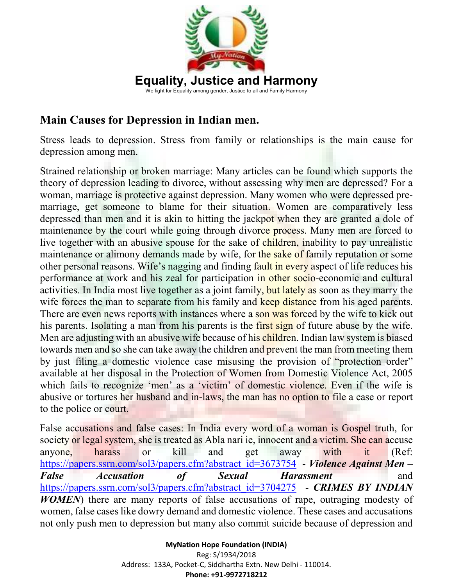

## **Main Causes for Depression in Indian men.**

Stress leads to depression. Stress from family or relationships is the main cause for depression among men.

Strained relationship or broken marriage: Many articles can be found which supports the theory of depression leading to divorce, without assessing why men are depressed? For a woman, marriage is protective against depression. Many women who were depressed premarriage, get someone to blame for their situation. Women are comparatively less depressed than men and it is akin to hitting the jackpot when they are granted a dole of maintenance by the court while going through divorce process. Many men are forced to live together with an abusive spouse for the sake of children, inability to pay unrealistic maintenance or alimony demands made by wife, for the sake of family reputation or some other personal reasons. Wife's nagging and finding fault in every aspect of life reduces his performance at work and his zeal for participation in other socio-economic and cultural activities. In India most live together as a joint family, but lately as soon as they marry the wife forces the man to separate from his family and keep distance from his aged parents. There are even news reports with instances where a son was forced by the wife to kick out his parents. Isolating a man from his parents is the first sign of future abuse by the wife. Men are adjusting with an abusive wife because of his children. Indian law system is biased towards men and so she can take away the children and prevent the man from meeting them by just filing a domestic violence case misusing the provision of "protection order" available at her disposal in the Protection of Women from Domestic Violence Act, 2005 which fails to recognize 'men' as a 'victim' of domestic violence. Even if the wife is abusive or tortures her husband and in-laws, the man has no option to file a case or report to the police or court.

False accusations and false cases: In India every word of a woman is Gospel truth, for society or legal system, she is treated as Abla nari ie, innocent and a victim. She can accuse anyone, harass or kill and get away with it (Ref: https://papers.ssrn.com/sol3/papers.cfm?abstract\_id=3673754 - *Violence Against Men – False Accusation of Sexual Harassment* and https://papers.ssrn.com/sol3/papers.cfm?abstract\_id=3704275 - *CRIMES BY INDIAN WOMEN*) there are many reports of false accusations of rape, outraging modesty of women, false cases like dowry demand and domestic violence. These cases and accusations not only push men to depression but many also commit suicide because of depression and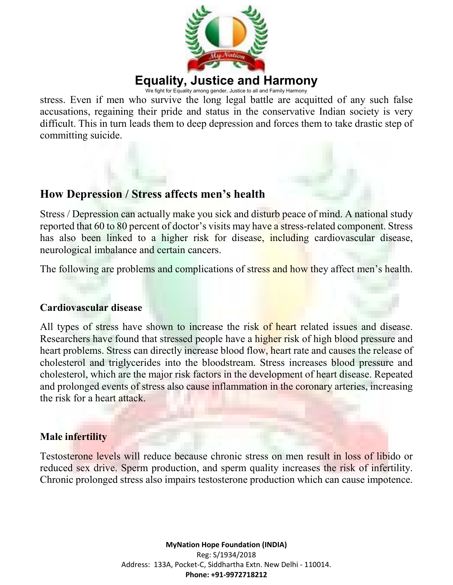

We fight for Equality among gender, Justice to all and Family Harmony

stress. Even if men who survive the long legal battle are acquitted of any such false accusations, regaining their pride and status in the conservative Indian society is very difficult. This in turn leads them to deep depression and forces them to take drastic step of committing suicide.

#### **How Depression / Stress affects men's health**

Stress / Depression can actually make you sick and disturb peace of mind. A national study reported that 60 to 80 percent of doctor's visits may have a stress-related component. Stress has also been linked to a higher risk for disease, including cardiovascular disease, neurological imbalance and certain cancers.

The following are problems and complications of stress and how they affect men's health.

#### **Cardiovascular disease**

All types of stress have shown to increase the risk of heart related issues and disease. Researchers have found that stressed people have a higher risk of high blood pressure and heart problems. Stress can directly increase blood flow, heart rate and causes the release of cholesterol and triglycerides into the bloodstream. Stress increases blood pressure and cholesterol, which are the major risk factors in the development of heart disease. Repeated and prolonged events of stress also cause inflammation in the coronary arteries, increasing the risk for a heart attack.

#### **Male infertility**

Testosterone levels will reduce because chronic stress on men result in loss of libido or reduced sex drive. Sperm production, and sperm quality increases the risk of infertility. Chronic prolonged stress also impairs testosterone production which can cause impotence.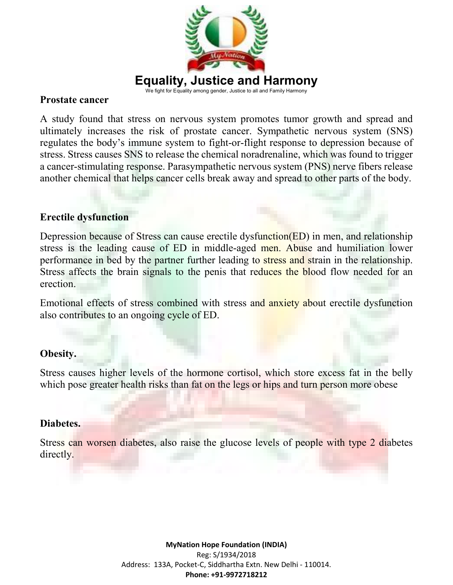

#### **Prostate cancer**

A study found that stress on nervous system promotes tumor growth and spread and ultimately increases the risk of prostate cancer. Sympathetic nervous system (SNS) regulates the body's immune system to fight-or-flight response to depression because of stress. Stress causes SNS to release the chemical noradrenaline, which was found to trigger a cancer-stimulating response. Parasympathetic nervous system (PNS) nerve fibers release another chemical that helps cancer cells break away and spread to other parts of the body.

#### **Erectile dysfunction**

Depression because of Stress can cause erectile dysfunction(ED) in men, and relationship stress is the leading cause of ED in middle-aged men. Abuse and humiliation lower performance in bed by the partner further leading to stress and strain in the relationship. Stress affects the brain signals to the penis that reduces the blood flow needed for an erection.

Emotional effects of stress combined with stress and anxiety about erectile dysfunction also contributes to an ongoing cycle of ED.

#### **Obesity.**

Stress causes higher levels of the hormone cortisol, which store excess fat in the belly which pose greater health risks than fat on the legs or hips and turn person more obese

#### **Diabetes.**

Stress can worsen diabetes, also raise the glucose levels of people with type 2 diabetes directly.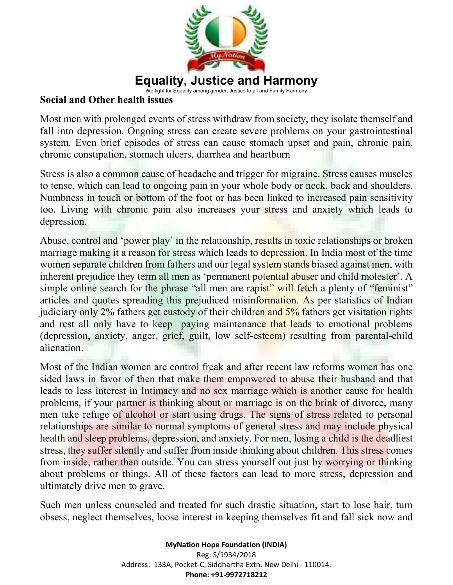

#### **Social and Other health issues**

Most men with prolonged events of stress withdraw from society, they isolate themself and fall into depression. Ongoing stress can create severe problems on your gastrointestinal system. Even brief episodes of stress can cause stomach upset and pain, chronic pain, chronic constipation, stomach ulcers, diarrhea and heartburn

Stress is also a common cause of headache and trigger for migraine. Stress causes muscles to tense, which can lead to ongoing pain in your whole body or neck, back and shoulders. Numbness in touch or bottom of the foot or has been linked to increased pain sensitivity too. Living with chronic pain also increases your stress and anxiety which leads to depression.

Abuse, control and 'power play' in the relationship, results in toxic relationships or broken marriage making it a reason for stress which leads to depression. In India most of the time women separate children from fathers and our legal system stands biased against men, with inherent prejudice they term all men as 'permanent potential abuser and child molester'. A simple online search for the phrase "all men are rapist" will fetch a plenty of "feminist" articles and quotes spreading this prejudiced misinformation. As per statistics of Indian judiciary only 2% fathers get custody of their children and 5% fathers get visitation rights and rest all only have to keep paying maintenance that leads to emotional problems (depression, anxiety, anger, grief, guilt, low self-esteem) resulting from parental-child alienation.

Most of the Indian women are control freak and after recent law reforms women has one sided laws in favor of then that make them empowered to abuse their husband and that leads to less interest in Intimacy and no sex marriage which is another cause for health problems, if your partner is thinking about or marriage is on the brink of divorce, many men take refuge of alcohol or start using drugs. The signs of stress related to personal relationships are similar to normal symptoms of general stress and may include physical health and sleep problems, depression, and anxiety. For men, losing a child is the deadliest stress, they suffer silently and suffer from inside thinking about children. This stress comes from inside, rather than outside. You can stress yourself out just by worrying or thinking about problems or things. All of these factors can lead to more stress, depression and ultimately drive men to grave.

Such men unless counseled and treated for such drastic situation, start to lose hair, turn obsess, neglect themselves, loose interest in keeping themselves fit and fall sick now and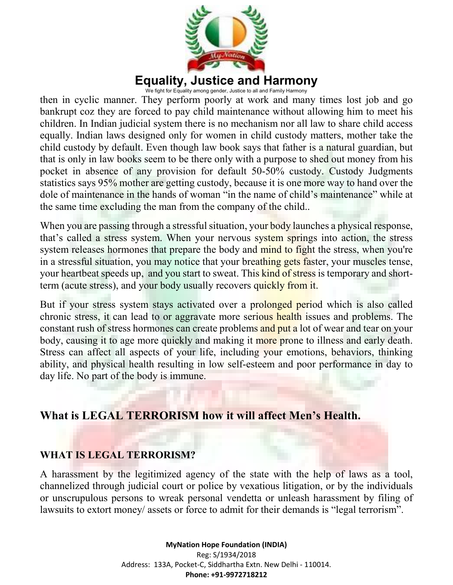

We fight for Equality among gender, Justice to all and Family Harmony

then in cyclic manner. They perform poorly at work and many times lost job and go bankrupt coz they are forced to pay child maintenance without allowing him to meet his children. In Indian judicial system there is no mechanism nor all law to share child access equally. Indian laws designed only for women in child custody matters, mother take the child custody by default. Even though law book says that father is a natural guardian, but that is only in law books seem to be there only with a purpose to shed out money from his pocket in absence of any provision for default 50-50% custody. Custody Judgments statistics says 95% mother are getting custody, because it is one more way to hand over the dole of maintenance in the hands of woman "in the name of child's maintenance" while at the same time excluding the man from the company of the child..

When you are passing through a stressful situation, your **body** launches a physical response, that's called a stress system. When your nervous system springs into action, the stress system releases hormones that prepare the body and mind to fight the stress, when you're in a stressful situation, you may notice that your breathing gets faster, your muscles tense, your heartbeat speeds up, and you start to sweat. This kind of stress is temporary and shortterm (acute stress), and your body usually recovers quickly from it.

But if your stress system stays activated over a prolonged period which is also called chronic stress, it can lead to or aggravate more serious health issues and problems. The constant rush of stress hormones can create problems and put a lot of wear and tear on your body, causing it to age more quickly and making it more prone to illness and early death. Stress can affect all aspects of your life, including your emotions, behaviors, thinking ability, and physical health resulting in low self-esteem and poor performance in day to day life. No part of the body is immune.

## **What is LEGAL TERRORISM how it will affect Men's Health.**

#### **WHAT IS LEGAL TERRORISM?**

A harassment by the legitimized agency of the state with the help of laws as a tool, channelized through judicial court or police by vexatious litigation, or by the individuals or unscrupulous persons to wreak personal vendetta or unleash harassment by filing of lawsuits to extort money/ assets or force to admit for their demands is "legal terrorism".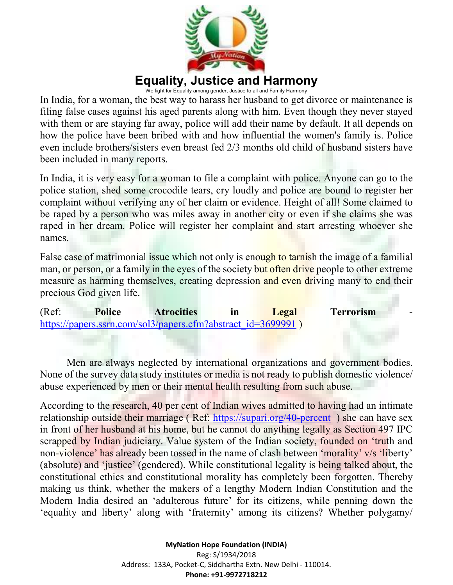

We fight for Equality among gender, Justice to all and Family Harmony

In India, for a woman, the best way to harass her husband to get divorce or maintenance is filing false cases against his aged parents along with him. Even though they never stayed with them or are staying far away, police will add their name by default. It all depends on how the police have been bribed with and how influential the women's family is. Police even include brothers/sisters even breast fed 2/3 months old child of husband sisters have been included in many reports.

In India, it is very easy for a woman to file a complaint with police. Anyone can go to the police station, shed some crocodile tears, cry loudly and police are bound to register her complaint without verifying any of her claim or evidence. Height of all! Some claimed to be raped by a person who was miles away in another city or even if she claims she was raped in her dream. Police will register her complaint and start arresting whoever she names.

False case of matrimonial issue which not only is enough to tarnish the image of a familial man, or person, or a family in the eyes of the society but often drive people to other extreme measure as harming themselves, creating depression and even driving many to end their precious God given life.

(Ref: **Police Atrocities in Legal Terrorism** https://papers.ssrn.com/sol3/papers.cfm?abstract\_id=3699991 )

Men are always neglected by international organizations and government bodies. None of the survey data study institutes or media is not ready to publish domestic violence/ abuse experienced by men or their mental health resulting from such abuse.

According to the research, 40 per cent of Indian wives admitted to having had an intimate relationship outside their marriage (Ref: https://supari.org/40-percent) she can have sex in front of her husband at his home, but he cannot do anything legally as Section 497 IPC scrapped by Indian judiciary. Value system of the Indian society, founded on 'truth and non-violence' has already been tossed in the name of clash between 'morality' v/s 'liberty' (absolute) and 'justice' (gendered). While constitutional legality is being talked about, the constitutional ethics and constitutional morality has completely been forgotten. Thereby making us think, whether the makers of a lengthy Modern Indian Constitution and the Modern India desired an 'adulterous future' for its citizens, while penning down the 'equality and liberty' along with 'fraternity' among its citizens? Whether polygamy/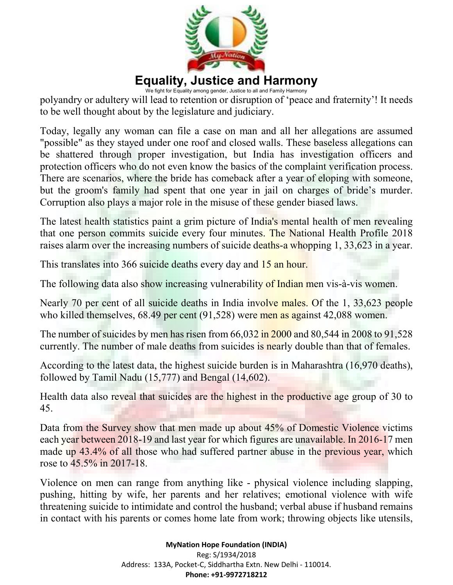

We fight for Equality among gender, Justice to all and Family Harmony polyandry or adultery will lead to retention or disruption of 'peace and fraternity'! It needs to be well thought about by the legislature and judiciary.

Today, legally any woman can file a case on man and all her allegations are assumed "possible" as they stayed under one roof and closed walls. These baseless allegations can be shattered through proper investigation, but India has investigation officers and protection officers who do not even know the basics of the complaint verification process. There are scenarios, where the bride has comeback after a year of eloping with someone, but the groom's family had spent that one year in jail on charges of bride's murder. Corruption also plays a major role in the misuse of these gender biased laws.

The latest health statistics paint a grim picture of India's mental health of men revealing that one person commits suicide every four minutes. The National Health Profile 2018 raises alarm over the increasing numbers of suicide deaths-a whopping 1, 33,623 in a year.

This translates into 366 suicide deaths every day and 15 an hour.

The following data also show increasing vulnerability of Indian men vis-à-vis women.

Nearly 70 per cent of all suicide deaths in India involve males. Of the 1, 33,623 people who killed themselves, 68.49 per cent (91,528) were men as against 42,088 women.

The number of suicides by men has risen from 66,032 in 2000 and 80,544 in 2008 to 91,528 currently. The number of male deaths from suicides is nearly double than that of females.

According to the latest data, the highest suicide burden is in Maharashtra (16,970 deaths), followed by Tamil Nadu (15,777) and Bengal (14,602).

Health data also reveal that suicides are the highest in the productive age group of 30 to 45.

Data from the Survey show that men made up about 45% of Domestic Violence victims each year between 2018-19 and last year for which figures are unavailable. In 2016-17 men made up 43.4% of all those who had suffered partner abuse in the previous year, which rose to 45.5% in 2017-18.

Violence on men can range from anything like - physical violence including slapping, pushing, hitting by wife, her parents and her relatives; emotional violence with wife threatening suicide to intimidate and control the husband; verbal abuse if husband remains in contact with his parents or comes home late from work; throwing objects like utensils,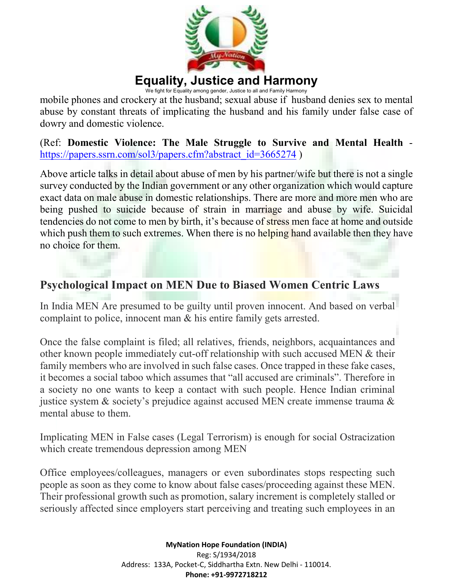

We fight for Equality among gender, Justice to all and Family Harmony

mobile phones and crockery at the husband; sexual abuse if husband denies sex to mental abuse by constant threats of implicating the husband and his family under false case of dowry and domestic violence.

(Ref: **Domestic Violence: The Male Struggle to Survive and Mental Health** https://papers.ssrn.com/sol3/papers.cfm?abstract\_id=3665274 )

Above article talks in detail about abuse of men by his partner/wife but there is not a single survey conducted by the Indian government or any other organization which would capture exact data on male abuse in domestic relationships. There are more and more men who are being pushed to suicide because of strain in marriage and abuse by wife. Suicidal tendencies do not come to men by birth, it's because of stress men face at home and outside which push them to such extremes. When there is no helping hand available then they have no choice for them.

#### **Psychological Impact on MEN Due to Biased Women Centric Laws**

In India MEN Are presumed to be guilty until proven innocent. And based on verbal complaint to police, innocent man & his entire family gets arrested.

Once the false complaint is filed; all relatives, friends, neighbors, acquaintances and other known people immediately cut-off relationship with such accused MEN & their family members who are involved in such false cases. Once trapped in these fake cases, it becomes a social taboo which assumes that "all accused are criminals". Therefore in a society no one wants to keep a contact with such people. Hence Indian criminal justice system & society's prejudice against accused MEN create immense trauma & mental abuse to them.

Implicating MEN in False cases (Legal Terrorism) is enough for social Ostracization which create tremendous depression among MEN

Office employees/colleagues, managers or even subordinates stops respecting such people as soon as they come to know about false cases/proceeding against these MEN. Their professional growth such as promotion, salary increment is completely stalled or seriously affected since employers start perceiving and treating such employees in an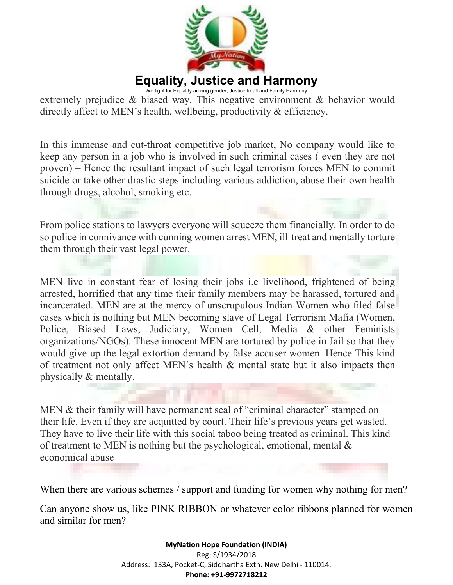

We fight for Equality among gender, Justice to all and Family Harmony extremely prejudice & biased way. This negative environment & behavior would directly affect to MEN's health, wellbeing, productivity & efficiency.

In this immense and cut-throat competitive job market, No company would like to keep any person in a job who is involved in such criminal cases ( even they are not proven) – Hence the resultant impact of such legal terrorism forces MEN to commit suicide or take other drastic steps including various addiction, abuse their own health through drugs, alcohol, smoking etc.

From police stations to lawyers everyone will squeeze them financially. In order to do so police in connivance with cunning women arrest MEN, ill-treat and mentally torture them through their vast legal power.

MEN live in constant fear of losing their jobs i.e livelihood, frightened of being arrested, horrified that any time their family members may be harassed, tortured and incarcerated. MEN are at the mercy of unscrupulous Indian Women who filed false cases which is nothing but MEN becoming slave of Legal Terrorism Mafia (Women, Police, Biased Laws, Judiciary, Women Cell, Media & other Feminists organizations/NGOs). These innocent MEN are tortured by police in Jail so that they would give up the legal extortion demand by false accuser women. Hence This kind of treatment not only affect MEN's health & mental state but it also impacts then physically & mentally.

MEN & their family will have permanent seal of "criminal character" stamped on their life. Even if they are acquitted by court. Their life's previous years get wasted. They have to live their life with this social taboo being treated as criminal. This kind of treatment to MEN is nothing but the psychological, emotional, mental  $\&$ economical abuse

When there are various schemes / support and funding for women why nothing for men?

Can anyone show us, like PINK RIBBON or whatever color ribbons planned for women and similar for men?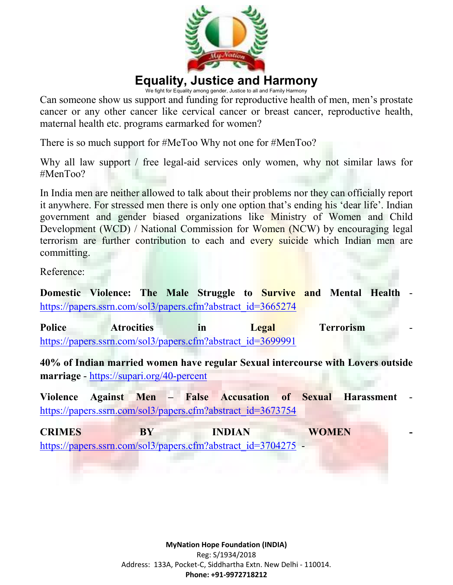

We fight for Equality among gender, Justice to all and Family Harmony

Can someone show us support and funding for reproductive health of men, men's prostate cancer or any other cancer like cervical cancer or breast cancer, reproductive health, maternal health etc. programs earmarked for women?

There is so much support for #MeToo Why not one for #MenToo?

Why all law support / free legal-aid services only women, why not similar laws for #MenToo?

In India men are neither allowed to talk about their problems nor they can officially report it anywhere. For stressed men there is only one option that's ending his 'dear life'. Indian government and gender biased organizations like Ministry of Women and Child Development (WCD) / National Commission for Women (NCW) by encouraging legal terrorism are further contribution to each and every suicide which Indian men are committing.

Reference:

**Domestic Violence: The Male Struggle to Survive and Mental Health** https://papers.ssrn.com/sol3/papers.cfm?abstract\_id=3665274

**Police Atrocities in Legal Terrorism** https://papers.ssrn.com/sol3/papers.cfm?abstract\_id=3699991

**40% of Indian married women have regular Sexual intercourse with Lovers outside marriage** - https://supari.org/40-percent

**Violence Against Men – False Accusation of Sexual Harassment** https://papers.ssrn.com/sol3/papers.cfm?abstract\_id=3673754

**CRIMES BY INDIAN WOMEN**  https://papers.ssrn.com/sol3/papers.cfm?abstract\_id=3704275 -